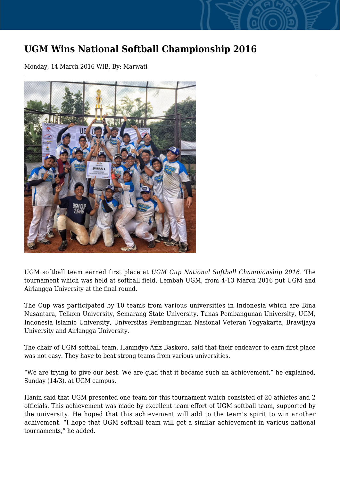## **UGM Wins National Softball Championship 2016**

Monday, 14 March 2016 WIB, By: Marwati



UGM softball team earned first place at *UGM Cup National Softball Championship 2016*. The tournament which was held at softball field, Lembah UGM, from 4-13 March 2016 put UGM and Airlangga University at the final round.

The Cup was participated by 10 teams from various universities in Indonesia which are Bina Nusantara, Telkom University, Semarang State University, Tunas Pembangunan University, UGM, Indonesia Islamic University, Universitas Pembangunan Nasional Veteran Yogyakarta, Brawijaya University and Airlangga University.

The chair of UGM softball team, Hanindyo Aziz Baskoro, said that their endeavor to earn first place was not easy. They have to beat strong teams from various universities.

"We are trying to give our best. We are glad that it became such an achievement," he explained, Sunday (14/3), at UGM campus.

Hanin said that UGM presented one team for this tournament which consisted of 20 athletes and 2 officials. This achievement was made by excellent team effort of UGM softball team, supported by the university. He hoped that this achievement will add to the team's spirit to win another achivement. "I hope that UGM softball team will get a similar achievement in various national tournaments," he added.